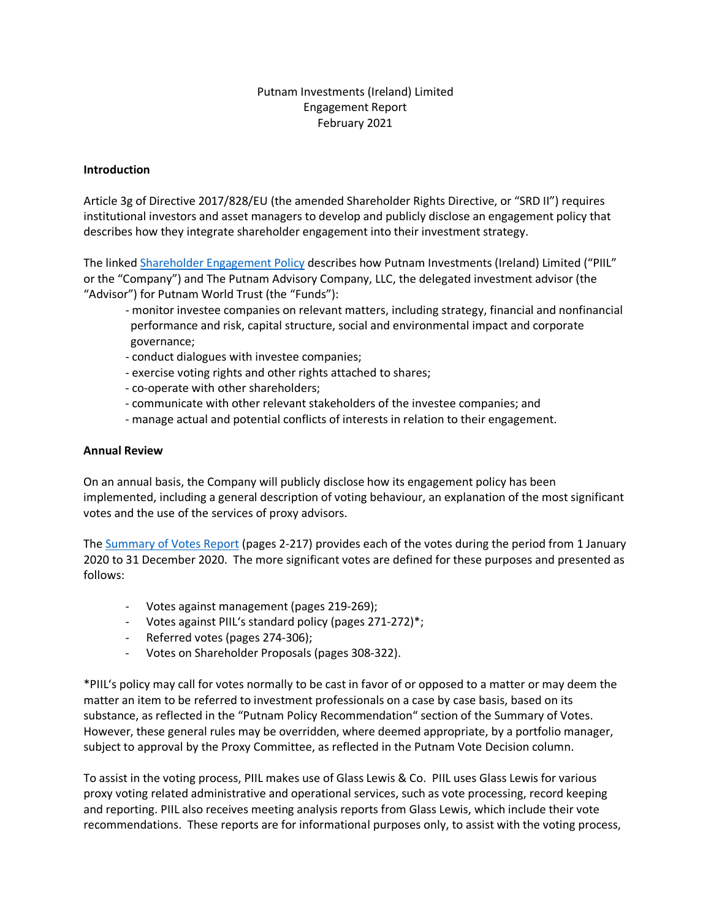# Putnam Investments (Ireland) Limited Engagement Report February 2021

## **Introduction**

Article 3g of Directive 2017/828/EU (the amended Shareholder Rights Directive, or "SRD II") requires institutional investors and asset managers to develop and publicly disclose an engagement policy that describes how they integrate shareholder engagement into their investment strategy.

The linke[d Shareholder Engagement](https://www.putnam.com/static/pdf/ucits/shareholder_engagement_policy-051a743dcd48a7145123c9fd3ba88103.pdf) Policy describes how Putnam Investments (Ireland) Limited ("PIIL" or the "Company") and The Putnam Advisory Company, LLC, the delegated investment advisor (the "Advisor") for Putnam World Trust (the "Funds"):

- monitor investee companies on relevant matters, including strategy, financial and nonfinancial performance and risk, capital structure, social and environmental impact and corporate governance;
- conduct dialogues with investee companies;
- exercise voting rights and other rights attached to shares;
- co-operate with other shareholders;
- communicate with other relevant stakeholders of the investee companies; and
- manage actual and potential conflicts of interests in relation to their engagement.

### **Annual Review**

On an annual basis, the Company will publicly disclose how its engagement policy has been implemented, including a general description of voting behaviour, an explanation of the most significant votes and the use of the services of proxy advisors.

The [Summary of Votes Report](https://www.putnam.com/literature/pdf/PIIL-PVD-summary-of-votes.pdf) (pages 2-217) provides each of the votes during the period from 1 January 2020 to 31 December 2020. The more significant votes are defined for these purposes and presented as follows:

- Votes against management (pages 219-269);
- Votes against PIIL's standard policy (pages 271-272)\*;
- Referred votes (pages 274-306);
- Votes on Shareholder Proposals (pages 308-322).

\*PIIL's policy may call for votes normally to be cast in favor of or opposed to a matter or may deem the matter an item to be referred to investment professionals on a case by case basis, based on its substance, as reflected in the "Putnam Policy Recommendation" section of the Summary of Votes. However, these general rules may be overridden, where deemed appropriate, by a portfolio manager, subject to approval by the Proxy Committee, as reflected in the Putnam Vote Decision column.

To assist in the voting process, PIIL makes use of Glass Lewis & Co. PIIL uses Glass Lewis for various proxy voting related administrative and operational services, such as vote processing, record keeping and reporting. PIIL also receives meeting analysis reports from Glass Lewis, which include their vote recommendations. These reports are for informational purposes only, to assist with the voting process,